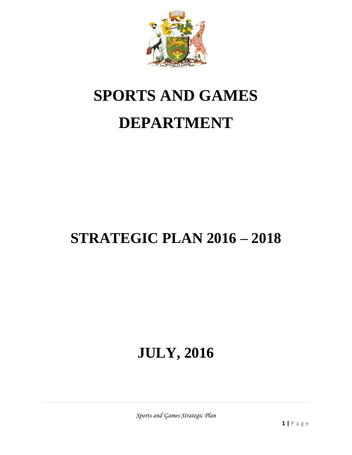

# **SPORTS AND GAMES DEPARTMENT**

# **STRATEGIC PLAN 2016 – 2018**

# **JULY, 2016**

*Sports and Games Strategic Plan*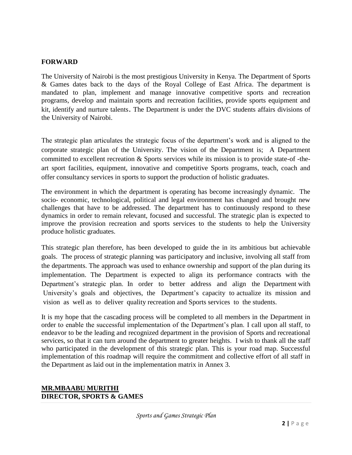#### **FORWARD**

The University of Nairobi is the most prestigious University in Kenya. The Department of Sports & Games dates back to the days of the Royal College of East Africa. The department is mandated to plan, implement and manage innovative competitive sports and recreation programs, develop and maintain sports and recreation facilities, provide sports equipment and kit, identify and nurture talents. The Department is under the DVC students affairs divisions of the University of Nairobi.

The strategic plan articulates the strategic focus of the department's work and is aligned to the corporate strategic plan of the University. The vision of the Department is; A Department committed to excellent recreation & Sports services while its mission is to provide state-of -theart sport facilities, equipment, innovative and competitive Sports programs, teach, coach and offer consultancy services in sports to support the production of holistic graduates.

The environment in which the department is operating has become increasingly dynamic. The socio- economic, technological, political and legal environment has changed and brought new challenges that have to be addressed. The department has to continuously respond to these dynamics in order to remain relevant, focused and successful. The strategic plan is expected to improve the provision recreation and sports services to the students to help the University produce holistic graduates.

This strategic plan therefore, has been developed to guide the in its ambitious but achievable goals. The process of strategic planning was participatory and inclusive, involving all staff from the departments. The approach was used to enhance ownership and support of the plan during its implementation. The Department is expected to align its performance contracts with the Department's strategic plan. In order to better address and align the Department with University's goals and objectives, the Department's capacity to actualize its mission and vision as well as to deliver quality recreation and Sports services to the students.

It is my hope that the cascading process will be completed to all members in the Department in order to enable the successful implementation of the Department's plan. I call upon all staff, to endeavor to be the leading and recognized department in the provision of Sports and recreational services, so that it can turn around the department to greater heights. I wish to thank all the staff who participated in the development of this strategic plan. This is your road map. Successful implementation of this roadmap will require the commitment and collective effort of all staff in the Department as laid out in the implementation matrix in Annex 3.

#### **MR.MBAABU MURITHI DIRECTOR, SPORTS & GAMES**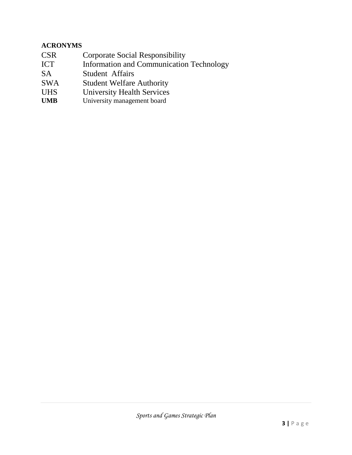# **ACRONYMS**

- CSR Corporate Social Responsibility
- ICT Information and Communication Technology
- SA Student Affairs
- SWA Student Welfare Authority
- UHS University Health Services<br>
UMB University management board
- University management board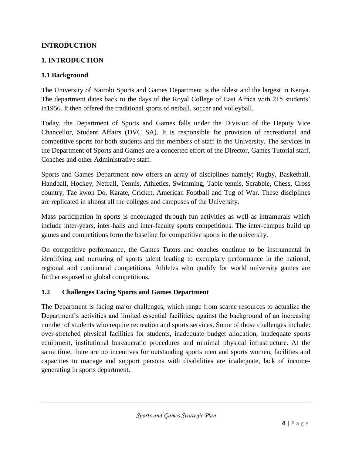# **INTRODUCTION**

# **1. INTRODUCTION**

### **1.1 Background**

The University of Nairobi Sports and Games Department is the oldest and the largest in Kenya. The department dates back to the days of the Royal College of East Africa with 215 students' in1956. It then offered the traditional sports of netball, soccer and volleyball.

Today, the Department of Sports and Games falls under the Division of the Deputy Vice Chancellor, Student Affairs (DVC SA). It is responsible for provision of recreational and competitive sports for both students and the members of staff in the University. The services in the Department of Sports and Games are a concerted effort of the Director, Games Tutorial staff, Coaches and other Administrative staff.

Sports and Games Department now offers an array of disciplines namely; Rugby, Basketball, Handball, Hockey, Netball, Tennis, Athletics, Swimming, Table tennis, Scrabble, Chess, Cross country, Tae kwon Do, Karate, Cricket, American Football and Tug of War. These disciplines are replicated in almost all the colleges and campuses of the University.

Mass participation in sports is encouraged through fun activities as well as intramurals which include inter-years, inter-halls and inter-faculty sports competitions. The inter-campus build up games and competitions form the baseline for competitive sports in the university.

On competitive performance, the Games Tutors and coaches continue to be instrumental in identifying and nurturing of sports talent leading to exemplary performance in the national, regional and continental competitions. Athletes who qualify for world university games are further exposed to global competitions.

#### **1.2 Challenges Facing Sports and Games Department**

The Department is facing major challenges, which range from scarce resources to actualize the Department's activities and limited essential facilities, against the background of an increasing number of students who require recreation and sports services. Some of those challenges include: over-stretched physical facilities for students, inadequate budget allocation, inadequate sports equipment, institutional bureaucratic procedures and minimal physical infrastructure. At the same time, there are no incentives for outstanding sports men and sports women, facilities and capacities to manage and support persons with disabilities are inadequate, lack of incomegenerating in sports department.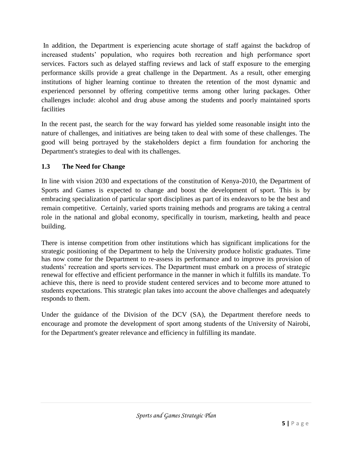In addition, the Department is experiencing acute shortage of staff against the backdrop of increased students' population, who requires both recreation and high performance sport services. Factors such as delayed staffing reviews and lack of staff exposure to the emerging performance skills provide a great challenge in the Department. As a result, other emerging institutions of higher learning continue to threaten the retention of the most dynamic and experienced personnel by offering competitive terms among other luring packages. Other challenges include: alcohol and drug abuse among the students and poorly maintained sports facilities

In the recent past, the search for the way forward has yielded some reasonable insight into the nature of challenges, and initiatives are being taken to deal with some of these challenges. The good will being portrayed by the stakeholders depict a firm foundation for anchoring the Department's strategies to deal with its challenges.

# **1.3 The Need for Change**

In line with vision 2030 and expectations of the constitution of Kenya-2010, the Department of Sports and Games is expected to change and boost the development of sport. This is by embracing specialization of particular sport disciplines as part of its endeavors to be the best and remain competitive. Certainly, varied sports training methods and programs are taking a central role in the national and global economy, specifically in tourism, marketing, health and peace building.

There is intense competition from other institutions which has significant implications for the strategic positioning of the Department to help the University produce holistic graduates. Time has now come for the Department to re-assess its performance and to improve its provision of students' recreation and sports services. The Department must embark on a process of strategic renewal for effective and efficient performance in the manner in which it fulfills its mandate. To achieve this, there is need to provide student centered services and to become more attuned to students expectations. This strategic plan takes into account the above challenges and adequately responds to them.

Under the guidance of the Division of the DCV (SA), the Department therefore needs to encourage and promote the development of sport among students of the University of Nairobi, for the Department's greater relevance and efficiency in fulfilling its mandate.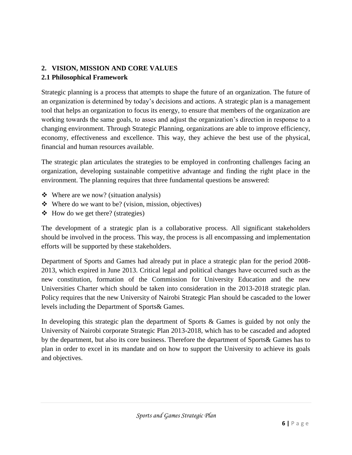# **2. VISION, MISSION AND CORE VALUES 2.1 Philosophical Framework**

Strategic planning is a process that attempts to shape the future of an organization. The future of an organization is determined by today's decisions and actions. A strategic plan is a management tool that helps an organization to focus its energy, to ensure that members of the organization are working towards the same goals, to asses and adjust the organization's direction in response to a changing environment. Through Strategic Planning, organizations are able to improve efficiency, economy, effectiveness and excellence. This way, they achieve the best use of the physical, financial and human resources available.

The strategic plan articulates the strategies to be employed in confronting challenges facing an organization, developing sustainable competitive advantage and finding the right place in the environment. The planning requires that three fundamental questions be answered:

- $\triangleleft$  Where are we now? (situation analysis)
- Where do we want to be? (vision, mission, objectives)
- $\triangleleft$  How do we get there? (strategies)

The development of a strategic plan is a collaborative process. All significant stakeholders should be involved in the process. This way, the process is all encompassing and implementation efforts will be supported by these stakeholders.

Department of Sports and Games had already put in place a strategic plan for the period 2008- 2013, which expired in June 2013. Critical legal and political changes have occurred such as the new constitution, formation of the Commission for University Education and the new Universities Charter which should be taken into consideration in the 2013-2018 strategic plan. Policy requires that the new University of Nairobi Strategic Plan should be cascaded to the lower levels including the Department of Sports& Games.

In developing this strategic plan the department of Sports & Games is guided by not only the University of Nairobi corporate Strategic Plan 2013-2018, which has to be cascaded and adopted by the department, but also its core business. Therefore the department of Sports& Games has to plan in order to excel in its mandate and on how to support the University to achieve its goals and objectives.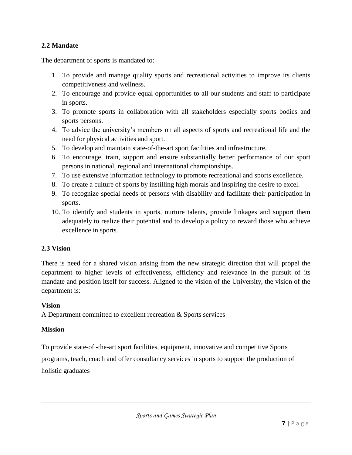# **2.2 Mandate**

The department of sports is mandated to:

- 1. To provide and manage quality sports and recreational activities to improve its clients competitiveness and wellness.
- 2. To encourage and provide equal opportunities to all our students and staff to participate in sports.
- 3. To promote sports in collaboration with all stakeholders especially sports bodies and sports persons.
- 4. To advice the university's members on all aspects of sports and recreational life and the need for physical activities and sport.
- 5. To develop and maintain state-of-the-art sport facilities and infrastructure.
- 6. To encourage, train, support and ensure substantially better performance of our sport persons in national, regional and international championships.
- 7. To use extensive information technology to promote recreational and sports excellence.
- 8. To create a culture of sports by instilling high morals and inspiring the desire to excel.
- 9. To recognize special needs of persons with disability and facilitate their participation in sports.
- 10. To identify and students in sports, nurture talents, provide linkages and support them adequately to realize their potential and to develop a policy to reward those who achieve excellence in sports.

#### **2.3 Vision**

There is need for a shared vision arising from the new strategic direction that will propel the department to higher levels of effectiveness, efficiency and relevance in the pursuit of its mandate and position itself for success. Aligned to the vision of the University, the vision of the department is:

#### **Vision**

A Department committed to excellent recreation & Sports services

#### **Mission**

To provide state-of -the-art sport facilities, equipment, innovative and competitive Sports programs, teach, coach and offer consultancy services in sports to support the production of holistic graduates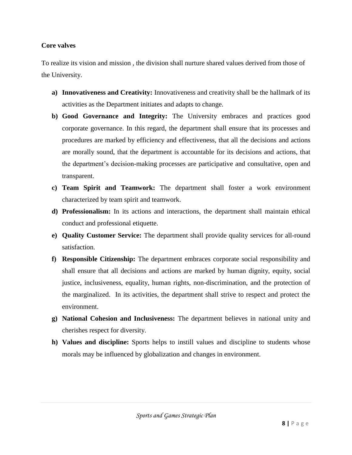#### **Core valves**

To realize its vision and mission , the division shall nurture shared values derived from those of the University.

- **a) Innovativeness and Creativity:** Innovativeness and creativity shall be the hallmark of its activities as the Department initiates and adapts to change.
- **b) Good Governance and Integrity:** The University embraces and practices good corporate governance. In this regard, the department shall ensure that its processes and procedures are marked by efficiency and effectiveness, that all the decisions and actions are morally sound, that the department is accountable for its decisions and actions, that the department's decision-making processes are participative and consultative, open and transparent.
- **c) Team Spirit and Teamwork:** The department shall foster a work environment characterized by team spirit and teamwork.
- **d) Professionalism:** In its actions and interactions, the department shall maintain ethical conduct and professional etiquette.
- **e) Quality Customer Service:** The department shall provide quality services for all-round satisfaction.
- **f) Responsible Citizenship:** The department embraces corporate social responsibility and shall ensure that all decisions and actions are marked by human dignity, equity, social justice, inclusiveness, equality, human rights, non-discrimination, and the protection of the marginalized. In its activities, the department shall strive to respect and protect the environment.
- **g) National Cohesion and Inclusiveness:** The department believes in national unity and cherishes respect for diversity.
- **h) Values and discipline:** Sports helps to instill values and discipline to students whose morals may be influenced by globalization and changes in environment.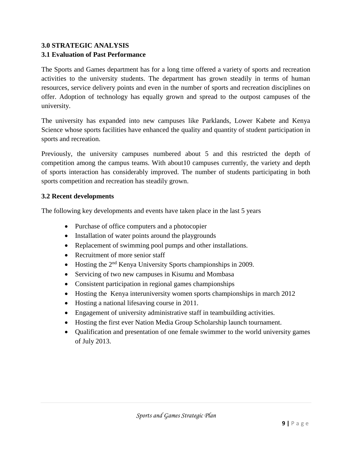# **3.0 STRATEGIC ANALYSIS 3.1 Evaluation of Past Performance**

The Sports and Games department has for a long time offered a variety of sports and recreation activities to the university students. The department has grown steadily in terms of human resources, service delivery points and even in the number of sports and recreation disciplines on offer. Adoption of technology has equally grown and spread to the outpost campuses of the university.

The university has expanded into new campuses like Parklands, Lower Kabete and Kenya Science whose sports facilities have enhanced the quality and quantity of student participation in sports and recreation.

Previously, the university campuses numbered about 5 and this restricted the depth of competition among the campus teams. With about10 campuses currently, the variety and depth of sports interaction has considerably improved. The number of students participating in both sports competition and recreation has steadily grown.

# **3.2 Recent developments**

The following key developments and events have taken place in the last 5 years

- Purchase of office computers and a photocopier
- Installation of water points around the playgrounds
- Replacement of swimming pool pumps and other installations.
- Recruitment of more senior staff
- Hosting the 2<sup>nd</sup> Kenya University Sports championships in 2009.
- Servicing of two new campuses in Kisumu and Mombasa
- Consistent participation in regional games championships
- Hosting the Kenya interuniversity women sports championships in march 2012
- Hosting a national lifesaving course in 2011.
- Engagement of university administrative staff in teambuilding activities.
- Hosting the first ever Nation Media Group Scholarship launch tournament.
- Qualification and presentation of one female swimmer to the world university games of July 2013.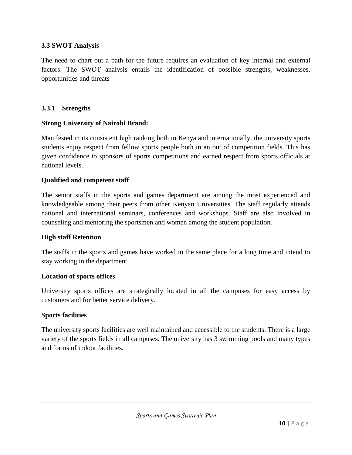# **3.3 SWOT Analysis**

The need to chart out a path for the future requires an evaluation of key internal and external factors. The SWOT analysis entails the identification of possible strengths, weaknesses, opportunities and threats

#### **3.3.1 Strengths**

#### **Strong University of Nairobi Brand:**

Manifested in its consistent high ranking both in Kenya and internationally, the university sports students enjoy respect from fellow sports people both in an out of competition fields. This has given confidence to sponsors of sports competitions and earned respect from sports officials at national levels.

#### **Qualified and competent staff**

The senior staffs in the sports and games department are among the most experienced and knowledgeable among their peers from other Kenyan Universities. The staff regularly attends national and international seminars, conferences and workshops. Staff are also involved in counseling and mentoring the sportsmen and women among the student population.

#### **High staff Retention**

The staffs in the sports and games have worked in the same place for a long time and intend to stay working in the department.

#### **Location of sports offices**

University sports offices are strategically located in all the campuses for easy access by customers and for better service delivery.

#### **Sports facilities**

The university sports facilities are well maintained and accessible to the students. There is a large variety of the sports fields in all campuses. The university has 3 swimming pools and many types and forms of indoor facilities.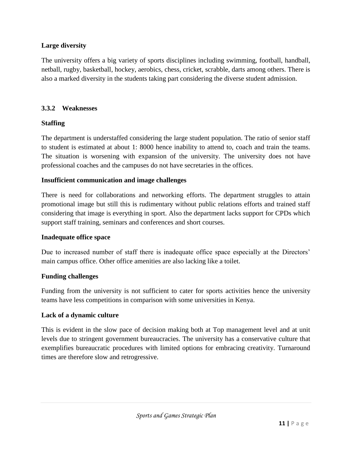# **Large diversity**

The university offers a big variety of sports disciplines including swimming, football, handball, netball, rugby, basketball, hockey, aerobics, chess, cricket, scrabble, darts among others. There is also a marked diversity in the students taking part considering the diverse student admission.

# **3.3.2 Weaknesses**

# **Staffing**

The department is understaffed considering the large student population. The ratio of senior staff to student is estimated at about 1: 8000 hence inability to attend to, coach and train the teams. The situation is worsening with expansion of the university. The university does not have professional coaches and the campuses do not have secretaries in the offices.

#### **Insufficient communication and image challenges**

There is need for collaborations and networking efforts. The department struggles to attain promotional image but still this is rudimentary without public relations efforts and trained staff considering that image is everything in sport. Also the department lacks support for CPDs which support staff training, seminars and conferences and short courses.

#### **Inadequate office space**

Due to increased number of staff there is inadequate office space especially at the Directors' main campus office. Other office amenities are also lacking like a toilet.

#### **Funding challenges**

Funding from the university is not sufficient to cater for sports activities hence the university teams have less competitions in comparison with some universities in Kenya.

#### **Lack of a dynamic culture**

This is evident in the slow pace of decision making both at Top management level and at unit levels due to stringent government bureaucracies. The university has a conservative culture that exemplifies bureaucratic procedures with limited options for embracing creativity. Turnaround times are therefore slow and retrogressive.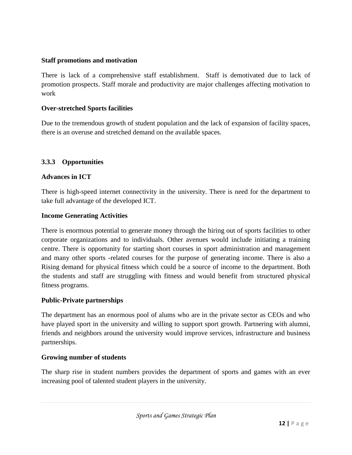### **Staff promotions and motivation**

There is lack of a comprehensive staff establishment. Staff is demotivated due to lack of promotion prospects. Staff morale and productivity are major challenges affecting motivation to work

### **Over-stretched Sports facilities**

Due to the tremendous growth of student population and the lack of expansion of facility spaces, there is an overuse and stretched demand on the available spaces.

# **3.3.3 Opportunities**

#### **Advances in ICT**

There is high-speed internet connectivity in the university. There is need for the department to take full advantage of the developed ICT.

#### **Income Generating Activities**

There is enormous potential to generate money through the hiring out of sports facilities to other corporate organizations and to individuals. Other avenues would include initiating a training centre. There is opportunity for starting short courses in sport administration and management and many other sports -related courses for the purpose of generating income. There is also a Rising demand for physical fitness which could be a source of income to the department. Both the students and staff are struggling with fitness and would benefit from structured physical fitness programs.

#### **Public-Private partnerships**

The department has an enormous pool of alums who are in the private sector as CEOs and who have played sport in the university and willing to support sport growth. Partnering with alumni, friends and neighbors around the university would improve services, infrastructure and business partnerships.

#### **Growing number of students**

The sharp rise in student numbers provides the department of sports and games with an ever increasing pool of talented student players in the university.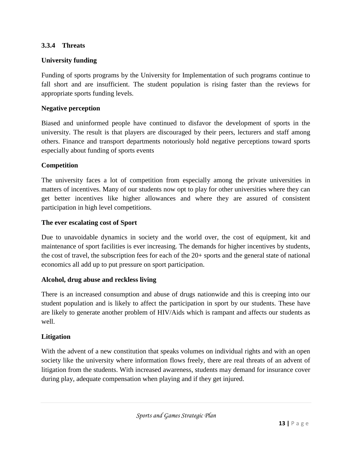# **3.3.4 Threats**

### **University funding**

Funding of sports programs by the University for Implementation of such programs continue to fall short and are insufficient. The student population is rising faster than the reviews for appropriate sports funding levels.

#### **Negative perception**

Biased and uninformed people have continued to disfavor the development of sports in the university. The result is that players are discouraged by their peers, lecturers and staff among others. Finance and transport departments notoriously hold negative perceptions toward sports especially about funding of sports events

#### **Competition**

The university faces a lot of competition from especially among the private universities in matters of incentives. Many of our students now opt to play for other universities where they can get better incentives like higher allowances and where they are assured of consistent participation in high level competitions.

#### **The ever escalating cost of Sport**

Due to unavoidable dynamics in society and the world over, the cost of equipment, kit and maintenance of sport facilities is ever increasing. The demands for higher incentives by students, the cost of travel, the subscription fees for each of the 20+ sports and the general state of national economics all add up to put pressure on sport participation.

#### **Alcohol, drug abuse and reckless living**

There is an increased consumption and abuse of drugs nationwide and this is creeping into our student population and is likely to affect the participation in sport by our students. These have are likely to generate another problem of HIV/Aids which is rampant and affects our students as well.

#### **Litigation**

With the advent of a new constitution that speaks volumes on individual rights and with an open society like the university where information flows freely, there are real threats of an advent of litigation from the students. With increased awareness, students may demand for insurance cover during play, adequate compensation when playing and if they get injured.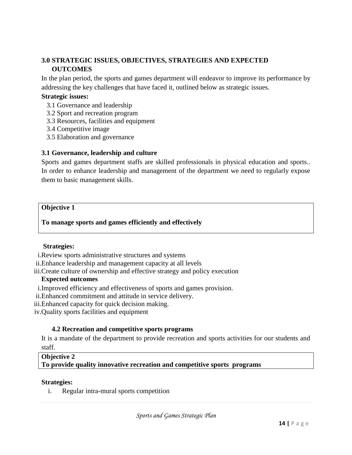# **3.0 STRATEGIC ISSUES, OBJECTIVES, STRATEGIES AND EXPECTED OUTCOMES**

In the plan period, the sports and games department will endeavor to improve its performance by addressing the key challenges that have faced it, outlined below as strategic issues.

#### **Strategic issues:**

- 3.1 Governance and leadership
- 3.2 Sport and recreation program
- 3.3 Resources, facilities and equipment
- 3.4 Competitive image
- 3.5 Elaboration and governance

#### **3.1 Governance, leadership and culture**

Sports and games department staffs are skilled professionals in physical education and sports.. In order to enhance leadership and management of the department we need to regularly expose them to basic management skills.

#### **Objective 1**

#### **To manage sports and games efficiently and effectively**

#### **Strategies:**

i.Review sports administrative structures and systems

- ii.Enhance leadership and management capacity at all levels
- iii.Create culture of ownership and effective strategy and policy execution

#### **Expected outcomes**

- i.Improved efficiency and effectiveness of sports and games provision.
- ii.Enhanced commitment and attitude in service delivery.
- iii.Enhanced capacity for quick decision making.
- iv.Quality sports facilities and equipment

#### **4.2 Recreation and competitive sports programs**

It is a mandate of the department to provide recreation and sports activities for our students and staff.

#### **Objective 2**

**To provide quality innovative recreation and competitive sports programs**

#### **Strategies:**

i. Regular intra-mural sports competition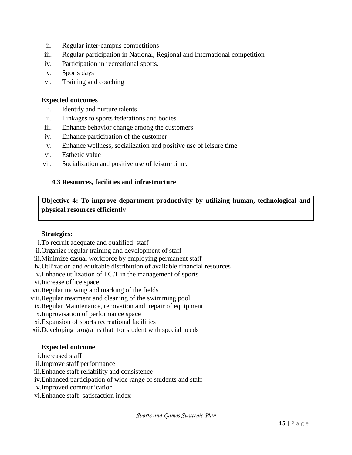- ii. Regular inter-campus competitions
- iii. Regular participation in National, Regional and International competition
- iv. Participation in recreational sports.
- v. Sports days
- vi. Training and coaching

#### **Expected outcomes**

- i. Identify and nurture talents
- ii. Linkages to sports federations and bodies
- iii. Enhance behavior change among the customers
- iv. Enhance participation of the customer
- v. Enhance wellness, socialization and positive use of leisure time
- vi. Esthetic value
- vii. Socialization and positive use of leisure time.

#### **4.3 Resources, facilities and infrastructure**

**Objective 4: To improve department productivity by utilizing human, technological and physical resources efficiently**

#### **Strategies:**

- i.To recruit adequate and qualified staff
- ii.Organize regular training and development of staff
- iii.Minimize casual workforce by employing permanent staff
- iv.Utilization and equitable distribution of available financial resources
- v.Enhance utilization of I.C.T in the management of sports
- vi.Increase office space
- vii.Regular mowing and marking of the fields
- viii.Regular treatment and cleaning of the swimming pool
- ix.Regular Maintenance, renovation and repair of equipment
- x.Improvisation of performance space
- xi.Expansion of sports recreational facilities
- xii.Developing programs that for student with special needs

#### **Expected outcome**

- i.Increased staff
- ii.Improve staff performance
- iii.Enhance staff reliability and consistence
- iv.Enhanced participation of wide range of students and staff
- v.Improved communication
- vi.Enhance staff satisfaction index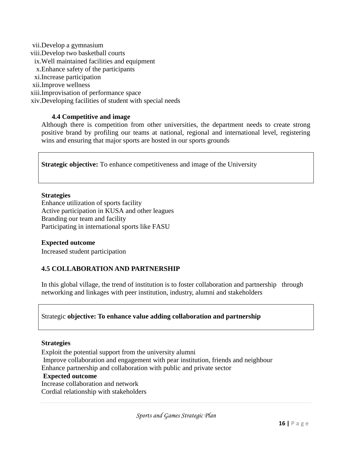vii.Develop a gymnasium viii.Develop two basketball courts ix.Well maintained facilities and equipment x.Enhance safety of the participants xi.Increase participation xii.Improve wellness xiii.Improvisation of performance space xiv.Developing facilities of student with special needs

#### **4.4 Competitive and image**

Although there is competition from other universities, the department needs to create strong positive brand by profiling our teams at national, regional and international level, registering wins and ensuring that major sports are hosted in our sports grounds

**Strategic objective:** To enhance competitiveness and image of the University

#### **Strategies**

Enhance utilization of sports facility Active participation in KUSA and other leagues Branding our team and facility Participating in international sports like FASU

#### **Expected outcome**

Increased student participation

#### **4.5 COLLABORATION AND PARTNERSHIP**

In this global village, the trend of institution is to foster collaboration and partnership through networking and linkages with peer institution, industry, alumni and stakeholders

#### Strategic **objective: To enhance value adding collaboration and partnership**

#### **Strategies**

Exploit the potential support from the university alumni Improve collaboration and engagement with pear institution, friends and neighbour Enhance partnership and collaboration with public and private sector **Expected outcome** 

# Increase collaboration and network

Cordial relationship with stakeholders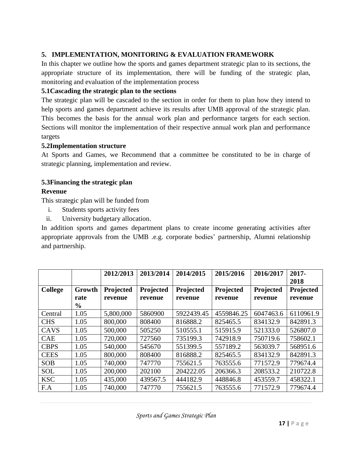# **5. IMPLEMENTATION, MONITORING & EVALUATION FRAMEWORK**

In this chapter we outline how the sports and games department strategic plan to its sections, the appropriate structure of its implementation, there will be funding of the strategic plan, monitoring and evaluation of the implementation process

# **5.1Cascading the strategic plan to the sections**

The strategic plan will be cascaded to the section in order for them to plan how they intend to help sports and games department achieve its results after UMB approval of the strategic plan. This becomes the basis for the annual work plan and performance targets for each section. Sections will monitor the implementation of their respective annual work plan and performance targets

#### **5.2Implementation structure**

At Sports and Games, we Recommend that a committee be constituted to be in charge of strategic planning, implementation and review.

# **5.3Financing the strategic plan**

# **Revenue**

This strategic plan will be funded from

- i. Students sports activity fees
- ii. University budgetary allocation.

In addition sports and games department plans to create income generating activities after appropriate approvals from the UMB .e.g. corporate bodies' partnership, Alumni relationship and partnership.

|                |               | 2012/2013 | 2013/2014 | 2014/2015  | 2015/2016  | 2016/2017 | $2017 -$<br>2018 |
|----------------|---------------|-----------|-----------|------------|------------|-----------|------------------|
| <b>College</b> | Growth        | Projected | Projected | Projected  | Projected  | Projected | Projected        |
|                | rate          | revenue   | revenue   | revenue    | revenue    | revenue   | revenue          |
|                | $\frac{0}{0}$ |           |           |            |            |           |                  |
| Central        | 1.05          | 5,800,000 | 5860900   | 5922439.45 | 4559846.25 | 6047463.6 | 6110961.9        |
| <b>CHS</b>     | 1.05          | 800,000   | 808400    | 816888.2   | 825465.5   | 834132.9  | 842891.3         |
| CAVS           | 1.05          | 500,000   | 505250    | 510555.1   | 515915.9   | 521333.0  | 526807.0         |
| <b>CAE</b>     | 1.05          | 720,000   | 727560    | 735199.3   | 742918.9   | 750719.6  | 758602.1         |
| <b>CBPS</b>    | 1.05          | 540,000   | 545670    | 551399.5   | 557189.2   | 563039.7  | 568951.6         |
| <b>CEES</b>    | 1.05          | 800,000   | 808400    | 816888.2   | 825465.5   | 834132.9  | 842891.3         |
| <b>SOB</b>     | 1.05          | 740,000   | 747770    | 755621.5   | 763555.6   | 771572.9  | 779674.4         |
| <b>SOL</b>     | 1.05          | 200,000   | 202100    | 204222.05  | 206366.3   | 208533.2  | 210722.8         |
| <b>KSC</b>     | 1.05          | 435,000   | 439567.5  | 444182.9   | 448846.8   | 453559.7  | 458322.1         |
| F.A            | 1.05          | 740,000   | 747770    | 755621.5   | 763555.6   | 771572.9  | 779674.4         |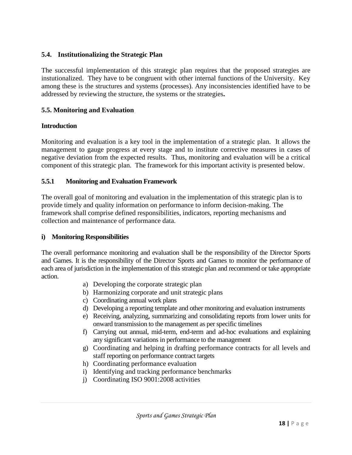#### **5.4. Institutionalizing the Strategic Plan**

The successful implementation of this strategic plan requires that the proposed strategies are instutionalized. They have to be congruent with other internal functions of the University. Key among these is the structures and systems (processes). Any inconsistencies identified have to be addressed by reviewing the structure, the systems or the strategies**.**

### **5.5. Monitoring and Evaluation**

#### **Introduction**

Monitoring and evaluation is a key tool in the implementation of a strategic plan. It allows the management to gauge progress at every stage and to institute corrective measures in cases of negative deviation from the expected results. Thus, monitoring and evaluation will be a critical component of this strategic plan. The framework for this important activity is presented below.

# **5.5.1 Monitoring and Evaluation Framework**

The overall goal of monitoring and evaluation in the implementation of this strategic plan is to provide timely and quality information on performance to inform decision-making. The framework shall comprise defined responsibilities, indicators, reporting mechanisms and collection and maintenance of performance data.

#### **i) Monitoring Responsibilities**

The overall performance monitoring and evaluation shall be the responsibility of the Director Sports and Games. It is the responsibility of the Director Sports and Games to monitor the performance of each area of jurisdiction in the implementation of this strategic plan and recommend or take appropriate action.

- a) Developing the corporate strategic plan
- b) Harmonizing corporate and unit strategic plans
- c) Coordinating annual work plans
- d) Developing a reporting template and other monitoring and evaluation instruments
- e) Receiving, analyzing, summarizing and consolidating reports from lower units for onward transmission to the management as per specific timelines
- f) Carrying out annual, mid-term, end-term and ad-hoc evaluations and explaining any significant variations in performance to the management
- g) Coordinating and helping in drafting performance contracts for all levels and staff reporting on performance contract targets
- h) Coordinating performance evaluation
- i) Identifying and tracking performance benchmarks
- j) Coordinating ISO 9001:2008 activities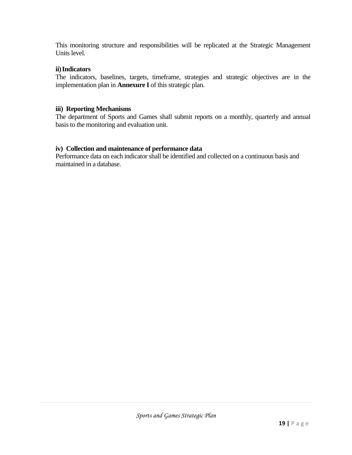This monitoring structure and responsibilities will be replicated at the Strategic Management Units level.

#### **ii)Indicators**

The indicators, baselines, targets, timeframe, strategies and strategic objectives are in the implementation plan in **Annexure I** of this strategic plan.

#### **iii) Reporting Mechanisms**

The department of Sports and Games shall submit reports on a monthly, quarterly and annual basis to the monitoring and evaluation unit.

#### **iv) Collection and maintenance of performance data**

Performance data on each indicator shall be identified and collected on a continuous basis and maintained in a database.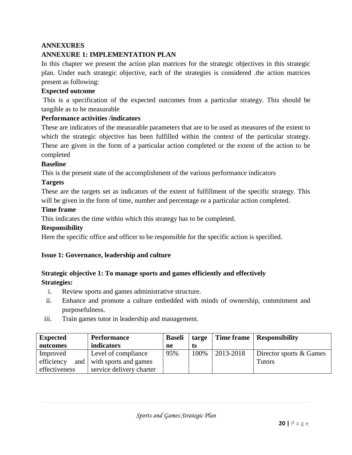# **ANNEXURES**

# **ANNEXURE 1: IMPLEMENTATION PLAN**

In this chapter we present the action plan matrices for the strategic objectives in this strategic plan. Under each strategic objective, each of the strategies is considered .the action matrices present as following:

#### **Expected outcome**

This is a specification of the expected outcomes from a particular strategy. This should be tangible as to be measurable

#### **Performance activities /indicators**

These are indicators of the measurable parameters that are to be used as measures of the extent to which the strategic objective has been fulfilled within the context of the particular strategy. These are given in the form of a particular action completed or the extent of the action to be completed

#### **Baseline**

This is the present state of the accomplishment of the various performance indicators

#### **Targets**

These are the targets set as indicators of the extent of fulfillment of the specific strategy. This will be given in the form of time, number and percentage or a particular action completed.

#### **Time frame**

This indicates the time within which this strategy has to be completed.

#### **Responsibility**

Here the specific office and officer to be responsible for the specific action is specified.

#### **Issue 1: Governance, leadership and culture**

# **Strategic objective 1: To manage sports and games efficiently and effectively Strategies:**

- i. Review sports and games administrative structure.
- ii. Enhance and promote a culture embedded with minds of ownership, commitment and purposefulness.
- iii. Train games tutor in leadership and management.

| <b>Expected</b> | <b>Performance</b>        | <b>Baseli</b> | targe |           | Time frame   Responsibility |
|-----------------|---------------------------|---------------|-------|-----------|-----------------------------|
| outcomes        | indicators                | ne            | ts    |           |                             |
| Improved        | Level of compliance       | 95%           | 100%  | 2013-2018 | Director sports & Games     |
| efficiency      | and with sports and games |               |       |           | <b>Tutors</b>               |
| effectiveness   | service delivery charter  |               |       |           |                             |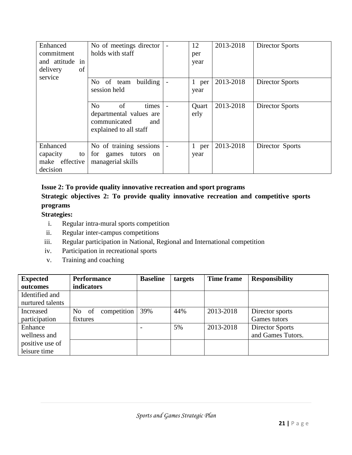| Enhanced<br>commitment<br>and attitude in<br>delivery<br>of<br>service | No of meetings director<br>holds with staff                                                               | 12<br>per<br>year | 2013-2018 | Director Sports        |
|------------------------------------------------------------------------|-----------------------------------------------------------------------------------------------------------|-------------------|-----------|------------------------|
|                                                                        | building<br>No of team<br>session held                                                                    | 1 per<br>year     | 2013-2018 | <b>Director Sports</b> |
|                                                                        | N <sub>o</sub><br>of<br>times<br>departmental values are<br>communicated<br>and<br>explained to all staff | Quart<br>erly     | 2013-2018 | <b>Director Sports</b> |
| Enhanced<br>capacity<br>to<br>make effective<br>decision               | No of training sessions<br>for games tutors<br>on<br>managerial skills                                    | 1 per<br>year     | 2013-2018 | Director Sports        |

# **Issue 2: To provide quality innovative recreation and sport programs**

# **Strategic objectives 2: To provide quality innovative recreation and competitive sports programs**

# **Strategies:**

- i. Regular intra-mural sports competition
- ii. Regular inter-campus competitions
- iii. Regular participation in National, Regional and International competition
- iv. Participation in recreational sports
- v. Training and coaching

| <b>Expected</b><br>outcomes        | <b>Performance</b><br>indicators | <b>Baseline</b> | targets | Time frame | <b>Responsibility</b>                |
|------------------------------------|----------------------------------|-----------------|---------|------------|--------------------------------------|
| Identified and<br>nurtured talents |                                  |                 |         |            |                                      |
| Increased<br>participation         | competition<br>No of<br>fixtures | 39%             | 44%     | 2013-2018  | Director sports<br>Games tutors      |
| Enhance<br>wellness and            |                                  |                 | 5%      | 2013-2018  | Director Sports<br>and Games Tutors. |
| positive use of<br>leisure time    |                                  |                 |         |            |                                      |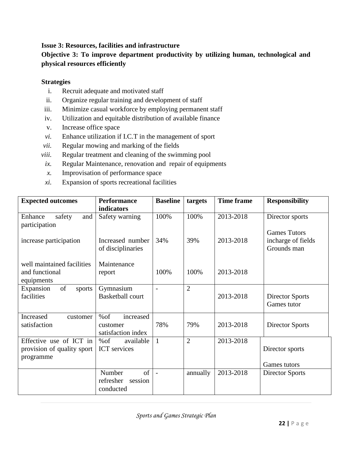# **Issue 3: Resources, facilities and infrastructure**

# **Objective 3: To improve department productivity by utilizing human, technological and physical resources efficiently**

#### **Strategies**

- i. Recruit adequate and motivated staff
- ii. Organize regular training and development of staff
- iii. Minimize casual workforce by employing permanent staff
- iv. Utilization and equitable distribution of available finance
- v. Increase office space
- *vi.* Enhance utilization if I.C.T in the management of sport
- *vii.* Regular mowing and marking of the fields
- *viii.* Regular treatment and cleaning of the swimming pool
- *ix.* Regular Maintenance, renovation and repair of equipments
- *x.* Improvisation of performance space
- *xi.* Expansion of sports recreational facilities

| <b>Expected outcomes</b>   | <b>Performance</b>      | <b>Baseline</b> | targets        | <b>Time frame</b> | <b>Responsibility</b>  |
|----------------------------|-------------------------|-----------------|----------------|-------------------|------------------------|
|                            | indicators              |                 |                |                   |                        |
| safety<br>Enhance<br>and   | Safety warning          | 100%            | 100%           | 2013-2018         | Director sports        |
| participation              |                         |                 |                |                   |                        |
|                            |                         |                 |                |                   | <b>Games Tutors</b>    |
| increase participation     | Increased number        | 34%             | 39%            | 2013-2018         | incharge of fields     |
|                            | of disciplinaries       |                 |                |                   | Grounds man            |
| well maintained facilities |                         |                 |                |                   |                        |
| and functional             | Maintenance             | 100%            | 100%           | 2013-2018         |                        |
|                            | report                  |                 |                |                   |                        |
| equipments                 |                         |                 |                |                   |                        |
| of<br>Expansion<br>sports  | Gymnasium               |                 | $\overline{2}$ |                   |                        |
| facilities                 | <b>Basketball court</b> |                 |                | 2013-2018         | Director Sports        |
|                            |                         |                 |                |                   | Games tutor            |
| Increased<br>customer      | %of<br>increased        |                 |                |                   |                        |
| satisfaction               | customer                | 78%             | 79%            | 2013-2018         | <b>Director Sports</b> |
|                            | satisfaction index      |                 |                |                   |                        |
| Effective use of ICT in    | %of<br>available        | $\mathbf{1}$    | $\overline{2}$ | 2013-2018         |                        |
| provision of quality sport | <b>ICT</b> services     |                 |                |                   | Director sports        |
| programme                  |                         |                 |                |                   |                        |
|                            |                         |                 |                |                   | Games tutors           |
|                            | of<br>Number            | $\overline{a}$  | annually       | 2013-2018         | <b>Director Sports</b> |
|                            | refresher<br>session    |                 |                |                   |                        |
|                            | conducted               |                 |                |                   |                        |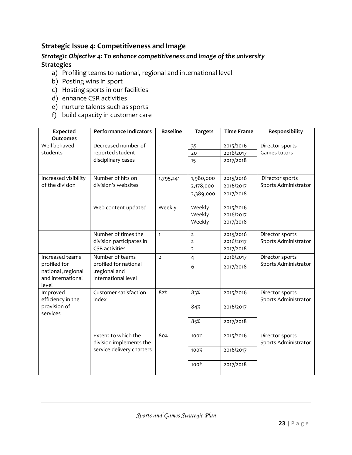# **Strategic Issue 4: Competitiveness and Image**

# *Strategic Objective 4: To enhance competitiveness and image of the university* **Strategies**

- a) Profiling teams to national, regional and international level
- b) Posting wins in sport
- c) Hosting sports in our facilities
- d) enhance CSR activities
- e) nurture talents such as sports
- f) build capacity in customer care

| <b>Expected</b><br><b>Outcomes</b>                               | <b>Performance Indicators</b>                                            | <b>Baseline</b> | <b>Targets</b>                                     | <b>Time Frame</b>                   | Responsibility                          |
|------------------------------------------------------------------|--------------------------------------------------------------------------|-----------------|----------------------------------------------------|-------------------------------------|-----------------------------------------|
| Well behaved<br>students                                         | Decreased number of<br>reported student                                  |                 | 35<br>20                                           | 2015/2016<br>2016/2017              | Director sports<br>Games tutors         |
|                                                                  | disciplinary cases                                                       |                 | 15                                                 | 2017/2018                           |                                         |
| Increased visibility<br>of the division                          | Number of hits on<br>division's websites                                 | 1,795,241       | 1,980,000<br>2,178,000<br>2,389,000                | 2015/2016<br>2016/2017<br>2017/2018 | Director sports<br>Sports Administrator |
|                                                                  | Web content updated                                                      | Weekly          | Weekly<br>Weekly<br>Weekly                         | 2015/2016<br>2016/2017<br>2017/2018 |                                         |
|                                                                  | Number of times the<br>division participates in<br><b>CSR</b> activities | $\mathbf{1}$    | $\overline{2}$<br>$\overline{2}$<br>$\overline{2}$ | 2015/2016<br>2016/2017<br>2017/2018 | Director sports<br>Sports Administrator |
| Increased teams                                                  | Number of teams                                                          | $\overline{2}$  | $\overline{4}$                                     | 2016/2017                           | Director sports                         |
| profiled for<br>national, regional<br>and international<br>level | profiled for national<br>,regional and<br>international level            |                 | 6                                                  | 2017/2018                           | Sports Administrator                    |
| Improved<br>efficiency in the                                    | Customer satisfaction<br>index                                           | 82%             | 83%                                                | 2015/2016                           | Director sports<br>Sports Administrator |
| provision of<br>services                                         |                                                                          |                 | 84%                                                | 2016/2017                           |                                         |
|                                                                  |                                                                          |                 | 85%                                                | 2017/2018                           |                                         |
|                                                                  | Extent to which the<br>division implements the                           | 80%             | 100%                                               | 2015/2016                           | Director sports<br>Sports Administrator |
|                                                                  | service delivery charters                                                |                 | 100%                                               | 2016/2017                           |                                         |
|                                                                  |                                                                          |                 | 100%                                               | 2017/2018                           |                                         |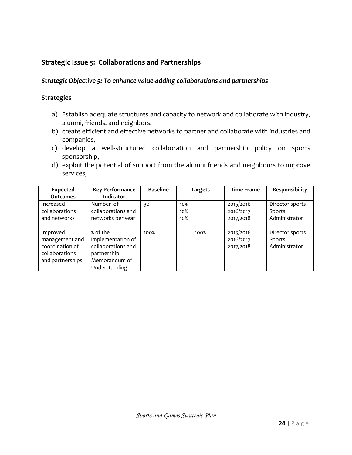# **Strategic Issue 5: Collaborations and Partnerships**

#### *Strategic Objective 5: To enhance value-adding collaborations and partnerships*

#### **Strategies**

- a) Establish adequate structures and capacity to network and collaborate with industry, alumni, friends, and neighbors.
- b) create efficient and effective networks to partner and collaborate with industries and companies,
- c) develop a well-structured collaboration and partnership policy on sports sponsorship,
- d) exploit the potential of support from the alumni friends and neighbours to improve services,

| Expected         | <b>Key Performance</b> | <b>Baseline</b> | <b>Targets</b> | <b>Time Frame</b> | Responsibility  |
|------------------|------------------------|-----------------|----------------|-------------------|-----------------|
| <b>Outcomes</b>  | <b>Indicator</b>       |                 |                |                   |                 |
| Increased        | Number of              | 30              | 10%            | 2015/2016         | Director sports |
| collaborations   | collaborations and     |                 | 10%            | 2016/2017         | Sports          |
| and networks     | networks per year      |                 | 10%            | 2017/2018         | Administrator   |
|                  |                        |                 |                |                   |                 |
| Improved         | % of the               | 100%            | 100%           | 2015/2016         | Director sports |
| management and   | implementation of      |                 |                | 2016/2017         | Sports          |
| coordination of  | collaborations and     |                 |                | 2017/2018         | Administrator   |
| collaborations   | partnership            |                 |                |                   |                 |
| and partnerships | Memorandum of          |                 |                |                   |                 |
|                  | Understanding          |                 |                |                   |                 |